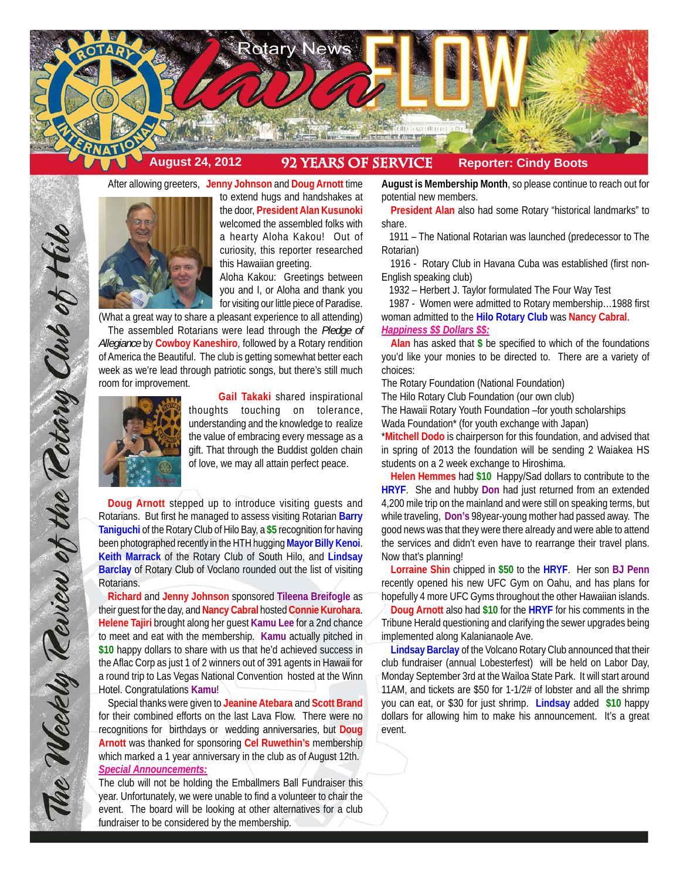

After allowing greeters, **Jenny Johnson** and **Doug Arnott** time



to extend hugs and handshakes at the door, **President Alan Kusunoki** welcomed the assembled folks with a hearty Aloha Kakou! Out of curiosity, this reporter researched this Hawaiian greeting.

Aloha Kakou: Greetings between you and I, or Aloha and thank you for visiting our little piece of Paradise.

(What a great way to share a pleasant experience to all attending) The assembled Rotarians were lead through the *Pledge of Allegiance* by **Cowboy Kaneshiro**, followed by a Rotary rendition of America the Beautiful. The club is getting somewhat better each week as we're lead through patriotic songs, but there's still much room for improvement.



**Gail Takaki** shared inspirational thoughts touching on tolerance, understanding and the knowledge to realize the value of embracing every message as a gift. That through the Buddist golden chain of love, we may all attain perfect peace.

**Doug Arnott** stepped up to introduce visiting guests and Rotarians. But first he managed to assess visiting Rotarian **Barry Taniguchi** of the Rotary Club of Hilo Bay, a **\$5** recognition for having been photographed recently in the HTH hugging **Mayor Billy Kenoi**. **Keith Marrack** of the Rotary Club of South Hilo, and **Lindsay Barclay** of Rotary Club of Voclano rounded out the list of visiting Rotarians.

**Richard** and **Jenny Johnson** sponsored **Tileena Breifogle** as their guest for the day, and **Nancy Cabral** hosted **Connie Kurohara**. **Helene Tajiri** brought along her guest **Kamu Lee** for a 2nd chance to meet and eat with the membership. **Kamu** actually pitched in **\$10** happy dollars to share with us that he'd achieved success in the Aflac Corp as just 1 of 2 winners out of 391 agents in Hawaii for a round trip to Las Vegas National Convention hosted at the Winn Hotel. Congratulations **Kamu**!

Special thanks were given to **Jeanine Atebara** and **Scott Brand** for their combined efforts on the last Lava Flow. There were no recognitions for birthdays or wedding anniversaries, but **Doug Arnott** was thanked for sponsoring **Cel Ruwethin's** membership which marked a 1 year anniversary in the club as of August 12th. *Special Announcements:*

The club will not be holding the Emballmers Ball Fundraiser this year. Unfortunately, we were unable to find a volunteer to chair the event. The board will be looking at other alternatives for a club fundraiser to be considered by the membership.

**August is Membership Month**, so please continue to reach out for potential new members.

**President Alan** also had some Rotary "historical landmarks" to share.

 1911 – The National Rotarian was launched (predecessor to The Rotarian)

 1916 - Rotary Club in Havana Cuba was established (first non-English speaking club)

1932 – Herbert J. Taylor formulated The Four Way Test

 1987 - Women were admitted to Rotary membership…1988 first woman admitted to the **Hilo Rotary Club** was **Nancy Cabral**.

*Happiness \$\$ Dollars \$\$:*

**Alan** has asked that **\$** be specified to which of the foundations you'd like your monies to be directed to. There are a variety of choices:

The Rotary Foundation (National Foundation)

The Hilo Rotary Club Foundation (our own club)

The Hawaii Rotary Youth Foundation –for youth scholarships

Wada Foundation\* (for youth exchange with Japan)

\***Mitchell Dodo** is chairperson for this foundation, and advised that in spring of 2013 the foundation will be sending 2 Waiakea HS students on a 2 week exchange to Hiroshima.

**Helen Hemmes** had **\$10** Happy/Sad dollars to contribute to the **HRYF**. She and hubby **Don** had just returned from an extended 4,200 mile trip on the mainland and were still on speaking terms, but while traveling, **Don's** 98year-young mother had passed away. The good news was that they were there already and were able to attend the services and didn't even have to rearrange their travel plans. Now that's planning!

**Lorraine Shin** chipped in **\$50** to the **HRYF**. Her son **BJ Penn** recently opened his new UFC Gym on Oahu, and has plans for hopefully 4 more UFC Gyms throughout the other Hawaiian islands.

**Doug Arnott** also had **\$10** for the **HRYF** for his comments in the Tribune Herald questioning and clarifying the sewer upgrades being implemented along Kalanianaole Ave.

**Lindsay Barclay** of the Volcano Rotary Club announced that their club fundraiser (annual Lobesterfest) will be held on Labor Day, Monday September 3rd at the Wailoa State Park. It will start around 11AM, and tickets are \$50 for 1-1/2# of lobster and all the shrimp you can eat, or \$30 for just shrimp. **Lindsay** added **\$10** happy dollars for allowing him to make his announcement. It's a great event.